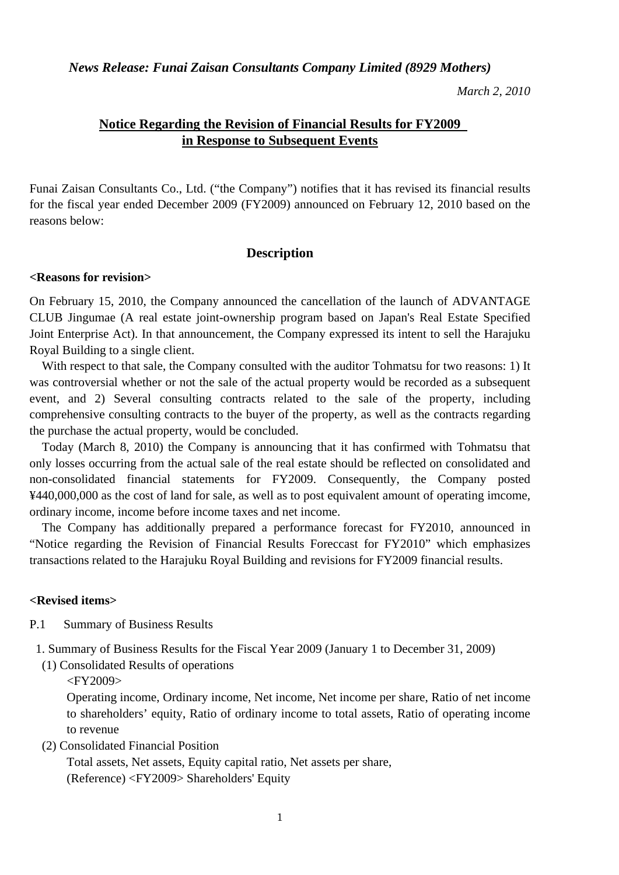*News Release: Funai Zaisan Consultants Company Limited (8929 Mothers)* 

*March 2, 2010* 

# **Notice Regarding the Revision of Financial Results for FY2009 in Response to Subsequent Events**

Funai Zaisan Consultants Co., Ltd. ("the Company") notifies that it has revised its financial results for the fiscal year ended December 2009 (FY2009) announced on February 12, 2010 based on the reasons below:

### **Description**

#### **<Reasons for revision>**

On February 15, 2010, the Company announced the cancellation of the launch of ADVANTAGE CLUB Jingumae (A real estate joint-ownership program based on Japan's Real Estate Specified Joint Enterprise Act). In that announcement, the Company expressed its intent to sell the Harajuku Royal Building to a single client.

With respect to that sale, the Company consulted with the auditor Tohmatsu for two reasons: 1) It was controversial whether or not the sale of the actual property would be recorded as a subsequent event, and 2) Several consulting contracts related to the sale of the property, including comprehensive consulting contracts to the buyer of the property, as well as the contracts regarding the purchase the actual property, would be concluded.

Today (March 8, 2010) the Company is announcing that it has confirmed with Tohmatsu that only losses occurring from the actual sale of the real estate should be reflected on consolidated and non-consolidated financial statements for FY2009. Consequently, the Company posted ¥440,000,000 as the cost of land for sale, as well as to post equivalent amount of operating imcome, ordinary income, income before income taxes and net income.

The Company has additionally prepared a performance forecast for FY2010, announced in "Notice regarding the Revision of Financial Results Foreccast for FY2010" which emphasizes transactions related to the Harajuku Royal Building and revisions for FY2009 financial results.

### **<Revised items>**

- P.1 Summary of Business Results
- 1. Summary of Business Results for the Fiscal Year 2009 (January 1 to December 31, 2009)
	- (1) Consolidated Results of operations
		- <FY2009>

Operating income, Ordinary income, Net income, Net income per share, Ratio of net income to shareholders' equity, Ratio of ordinary income to total assets, Ratio of operating income to revenue

(2) Consolidated Financial Position

Total assets, Net assets, Equity capital ratio, Net assets per share, (Reference) <FY2009> Shareholders' Equity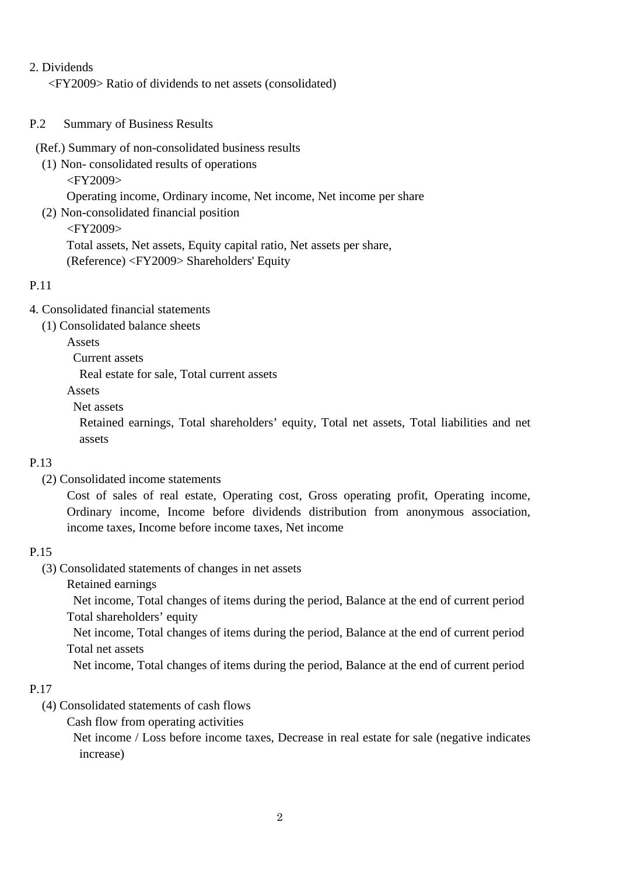# 2. Dividends

<FY2009> Ratio of dividends to net assets (consolidated)

- P.2 Summary of Business Results
	- (Ref.) Summary of non-consolidated business results
		- (1) Non- consolidated results of operations
			- <FY2009>

Operating income, Ordinary income, Net income, Net income per share

- (2) Non-consolidated financial position
	- <FY2009>

Total assets, Net assets, Equity capital ratio, Net assets per share, (Reference) <FY2009> Shareholders' Equity

# P.11

- 4. Consolidated financial statements
	- (1) Consolidated balance sheets
		- Assets
			- Current assets

Real estate for sale, Total current assets

- Assets
- Net assets

 Retained earnings, Total shareholders' equity, Total net assets, Total liabilities and net assets

## P.13

(2) Consolidated income statements

 Cost of sales of real estate, Operating cost, Gross operating profit, Operating income, Ordinary income, Income before dividends distribution from anonymous association, income taxes, Income before income taxes, Net income

## P.15

- (3) Consolidated statements of changes in net assets
	- Retained earnings

 Net income, Total changes of items during the period, Balance at the end of current period Total shareholders' equity

 Net income, Total changes of items during the period, Balance at the end of current period Total net assets

Net income, Total changes of items during the period, Balance at the end of current period

## P.17

- (4) Consolidated statements of cash flows
	- Cash flow from operating activities

 Net income / Loss before income taxes, Decrease in real estate for sale (negative indicates increase)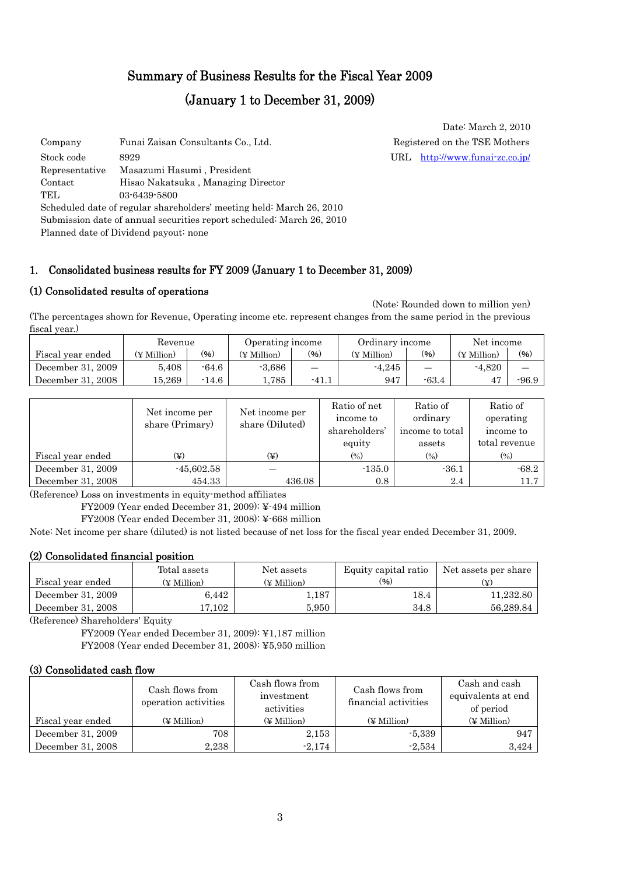# Summary of Business Results for the Fiscal Year 2009

# (January 1 to December 31, 2009)

Company Funai Zaisan Consultants Co., Ltd. Registered on the TSE Mothers Stock code 8929 URL <http://www.funai-zc.co.jp/> Representative Masazumi Hasumi , President Contact Hisao Nakatsuka , Managing Director TEL 03-6439-5800 Scheduled date of regular shareholders' meeting held: March 26, 2010 Submission date of annual securities report scheduled: March 26, 2010 Planned date of Dividend payout: none

### 1. Consolidated business results for FY 2009 (January 1 to December 31, 2009)

#### (1) Consolidated results of operations

(Note: Rounded down to million yen)

(The percentages shown for Revenue, Operating income etc. represent changes from the same period in the previous fiscal year.)

|                   | Revenue     |         | Operating income |                          | Ordinary income |                               | Net income  |         |
|-------------------|-------------|---------|------------------|--------------------------|-----------------|-------------------------------|-------------|---------|
| Fiscal year ended | (¥ Million) | (%)     | (¥ Million)      | $(\%)$                   | (¥ Million)     | (96)                          | (¥ Million) | (96)    |
| December 31, 2009 | 5.408       | $-64.6$ | $-3.686$         | $\overline{\phantom{0}}$ | $-4.245$        | $\overbrace{\phantom{12333}}$ | $-4.820$    |         |
| December 31, 2008 | 15.269      | $-14.6$ | 785              | $-41.1$                  | 947             | $-63.4$                       |             | $-96.9$ |

|                   | Net income per  | Net income per  | Ratio of net               | Ratio of                   | Ratio of                   |
|-------------------|-----------------|-----------------|----------------------------|----------------------------|----------------------------|
|                   | share (Primary) | share (Diluted) | income to                  | ordinary                   | operating                  |
|                   |                 |                 | shareholders'              | income to total            | income to                  |
|                   |                 |                 | equity                     | assets                     | total revenue              |
| Fiscal year ended | (¥)             | (¥)             | $\left(\frac{0}{0}\right)$ | $\left(\frac{0}{0}\right)$ | $\left(\frac{0}{0}\right)$ |
| December 31, 2009 | $-45,602.58$    |                 | $-135.0$                   | $-36.1$                    | $-68.2$                    |
| December 31, 2008 | 454.33          | 436.08          | 0.8                        | 2.4                        | 11.7                       |

(Reference) Loss on investments in equity-method affiliates

FY2009 (Year ended December 31, 2009): ¥-494 million

FY2008 (Year ended December 31, 2008): ¥-668 million

Note: Net income per share (diluted) is not listed because of net loss for the fiscal year ended December 31, 2009.

### (2) Consolidated financial position

|                   | Total assets | Net assets  | Equity capital ratio | Net assets per share |  |
|-------------------|--------------|-------------|----------------------|----------------------|--|
| Fiscal year ended | (¥ Million)  | (¥ Million) | (96)                 | (¥)                  |  |
| December 31, 2009 | 6,442        | 1,187       | $^{18.4}$            | 11.232.80            |  |
| December 31, 2008 | 7.102        | 5.950       | 34.8                 | 56.289.84            |  |

(Reference) Shareholders' Equity

FY2009 (Year ended December 31, 2009): ¥1,187 million FY2008 (Year ended December 31, 2008): ¥5,950 million

#### (3) Consolidated cash flow

|                   | Cash flows from<br>operation activities | Cash flows from<br>investment<br>activities | Cash flows from<br>financial activities | Cash and cash<br>equivalents at end<br>of period |
|-------------------|-----------------------------------------|---------------------------------------------|-----------------------------------------|--------------------------------------------------|
| Fiscal year ended | (¥ Million)                             | $(\n\Psi$ Million)                          | (¥ Million)                             | $(\n\Psi$ Million)                               |
| December 31, 2009 | 708                                     | 2,153                                       | $-5,339$                                | 947                                              |
| December 31, 2008 | 2,238                                   | $-2.174$                                    | $-2,534$                                | 3,424                                            |

3

Date: March 2, 2010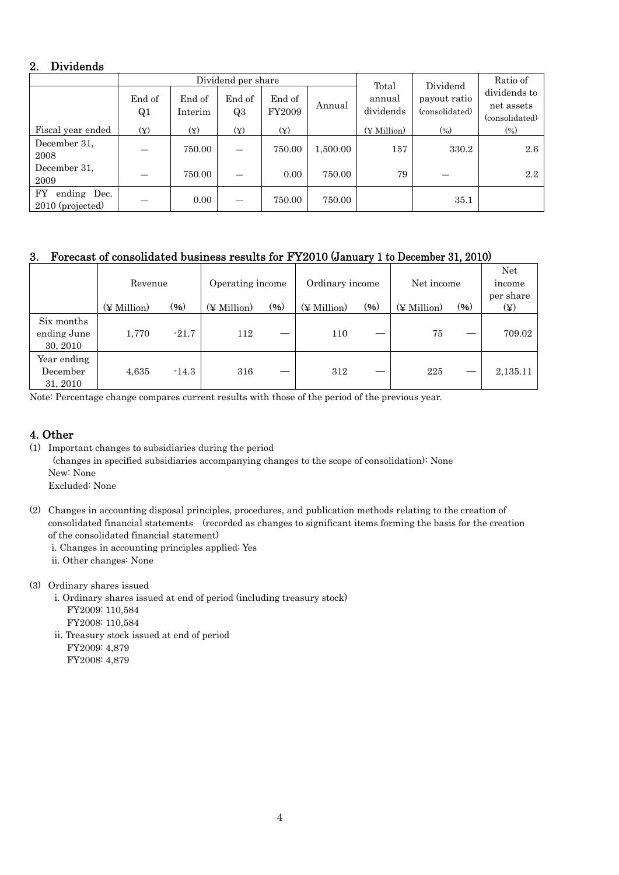### 2. Dividends

|                                       | Dividend per share |                   |                          |                  |          | Total               | Dividend                       | Ratio of                                     |
|---------------------------------------|--------------------|-------------------|--------------------------|------------------|----------|---------------------|--------------------------------|----------------------------------------------|
|                                       | End of<br>Q1       | End of<br>Interim | End of<br>Q3             | End of<br>FY2009 | Annual   | annual<br>dividends | payout ratio<br>(consolidated) | dividends to<br>net assets<br>(consolidated) |
| Fiscal year ended                     | $(\yen)$           | $(\yen)$          | $(\yen)$                 | $(\yen)$         |          | (¥ Million)         | $(\%)$                         | $(\%)$                                       |
| December 31.<br>2008                  |                    | 750.00            | $\overline{\phantom{0}}$ | 750.00           | 1,500.00 | 157                 | 330.2                          | $2.6\,$                                      |
| December 31,<br>2009                  |                    | 750.00            |                          | 0.00             | 750.00   | 79                  |                                | 2.2                                          |
| FY<br>ending Dec.<br>2010 (projected) |                    | 0.00              | $\overline{\phantom{0}}$ | 750.00           | 750.00   |                     | 35.1                           |                                              |

### 3. Forecast of consolidated business results for FY2010 (January 1 to December 31, 2010)

|                                       | Revenue     |         | Operating income |         | Ordinary income |      | Net income  |      | Net<br>income<br>per share |
|---------------------------------------|-------------|---------|------------------|---------|-----------------|------|-------------|------|----------------------------|
|                                       | (¥ Million) | (96)    | (¥ Million)      | $(\% )$ | (¥ Million)     | (96) | (¥ Million) | (96) | $(\yen)$                   |
| Six months<br>ending June<br>30, 2010 | 1,770       | $-21.7$ | 112              |         | 110             |      | 75          |      | 709.02                     |
| Year ending<br>December<br>31, 2010   | 4,635       | $-14.3$ | 316              |         | 312             |      | 225         |      | 2,135.11                   |

Note: Percentage change compares current results with those of the period of the previous year.

# 4. Other

- (1) Important changes to subsidiaries during the period (changes in specified subsidiaries accompanying changes to the scope of consolidation): None New: None Excluded: None
- (2) Changes in accounting disposal principles, procedures, and publication methods relating to the creation of consolidated financial statements (recorded as changes to significant items forming the basis for the creation of the consolidated financial statement)
	- i. Changes in accounting principles applied: Yes
	- ii. Other changes: None
- (3) Ordinary shares issued
	- i. Ordinary shares issued at end of period (including treasury stock) FY2009: 110,584
	- FY2008: 110,584 ii. Treasury stock issued at end of period FY2009: 4,879
		- FY2008: 4,879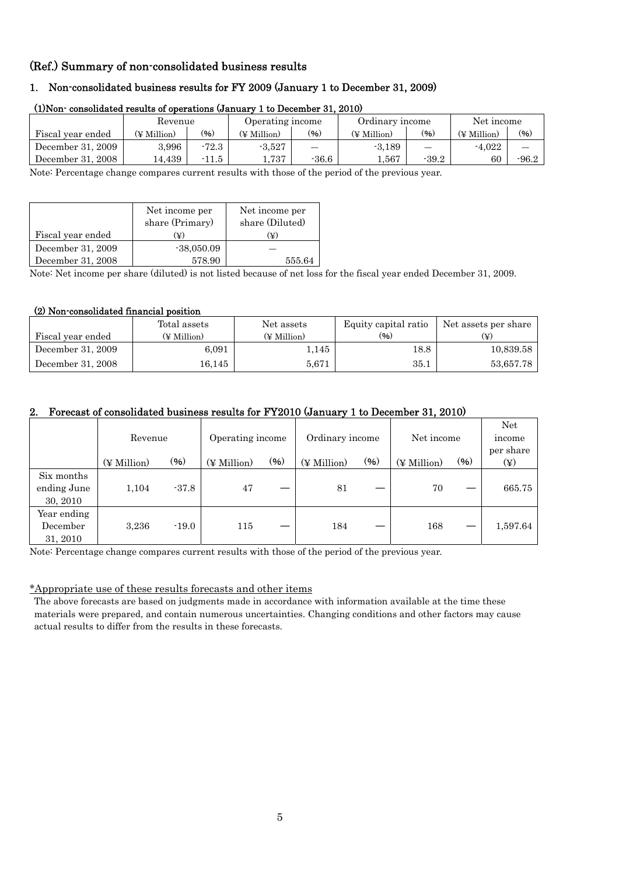### (Ref.) Summary of non-consolidated business results

### 1. Non-consolidated business results for FY 2009 (January 1 to December 31, 2009)

|                   | Revenue     |         | Operating income |         | Ordinary income |         | Net income  |         |  |
|-------------------|-------------|---------|------------------|---------|-----------------|---------|-------------|---------|--|
| Fiscal year ended | (¥ Million) | $(\% )$ | (¥ Million)      | (96)    | (¥ Million)     | (96)    | (¥ Million) | (96)    |  |
| December 31, 2009 | 3.996       | $-72.3$ | $-3.527$         |         | $-3.189$        |         | $-4.022$    |         |  |
| December 31, 2008 | 14.439      | $-11.5$ | 1.737            | $-36.6$ | . 567           | $-39.2$ | 60          | $-96.2$ |  |

#### (1)Non- consolidated results of operations (January 1 to December 31, 2010)

Note: Percentage change compares current results with those of the period of the previous year.

|                   | Net income per<br>share (Primary) | Net income per<br>share (Diluted) |
|-------------------|-----------------------------------|-----------------------------------|
| Fiscal year ended | (¥)                               | ¥)                                |
| December 31, 2009 | $-38,050.09$                      |                                   |
| December 31, 2008 | 578.90                            | 555.64                            |

Note: Net income per share (diluted) is not listed because of net loss for the fiscal year ended December 31, 2009.

#### (2) Non-consolidated financial position

|                   | Total assets | Net assets  | Equity capital ratio | Net assets per share |
|-------------------|--------------|-------------|----------------------|----------------------|
| Fiscal year ended | (¥ Million)  | (¥ Million) | (96)                 |                      |
| December 31, 2009 | 6,091        | 1,145       | 18.8                 | 10,839.58            |
| December 31, 2008 | $16.145\,$   | 5,671       | 35.1                 | 53,657.78            |

#### 2. Forecast of consolidated business results for FY2010 (January 1 to December 31, 2010)

|                                       | Revenue     |         | Operating income        |        | Ordinary income |        | Net income  |      | Net<br>income<br>per share |
|---------------------------------------|-------------|---------|-------------------------|--------|-----------------|--------|-------------|------|----------------------------|
|                                       | (¥ Million) | (96)    | $(\nPsi\text{Million})$ | $(\%)$ | (¥ Million)     | $(\%)$ | (¥ Million) | (96) | $(\yen)$                   |
| Six months<br>ending June<br>30, 2010 | 1,104       | $-37.8$ | 47                      |        | 81              |        | 70          |      | 665.75                     |
| Year ending<br>December<br>31, 2010   | 3,236       | $-19.0$ | 115                     |        | 184             |        | 168         |      | 1,597.64                   |

Note: Percentage change compares current results with those of the period of the previous year.

#### \*Appropriate use of these results forecasts and other items

The above forecasts are based on judgments made in accordance with information available at the time these materials were prepared, and contain numerous uncertainties. Changing conditions and other factors may cause actual results to differ from the results in these forecasts.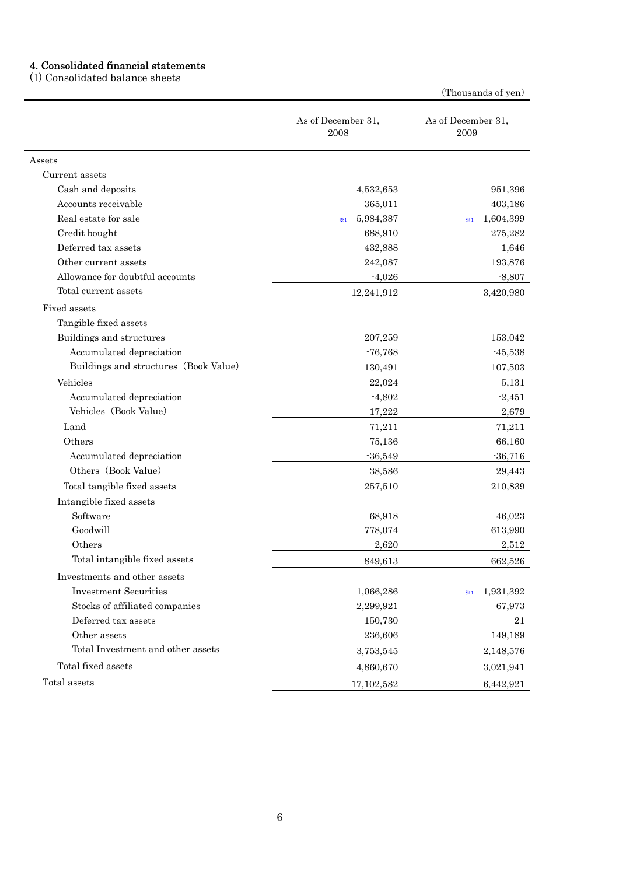#### 4. Consolidated financial statements

(1) Consolidated balance sheets

As of December 31, 2008 As of December 31, 2009 Assets Current assets Cash and deposits **6.632,653** 951,396 Accounts receivable 365,011 403,186 Real estate for sale  $\frac{1}{2}$   $\frac{1}{2}$   $\frac{1}{2}$   $\frac{1}{2}$   $\frac{1}{2}$   $\frac{1}{2}$   $\frac{1}{2}$   $\frac{1}{2}$   $\frac{1}{2}$   $\frac{1}{2}$   $\frac{1}{2}$   $\frac{1}{2}$   $\frac{1}{2}$   $\frac{1}{2}$   $\frac{1}{2}$   $\frac{1}{2}$   $\frac{1}{2}$   $\frac{1}{2}$   $\frac{1}{2}$   $\frac{1}{2}$  Credit bought 688,910 275,282 Deferred tax assets 1,646 Other current assets 242,087 193,876 Allowance for doubtful accounts  $-4,026$   $-8,807$ Total current assets 3,420,980 Fixed assets Tangible fixed assets Buildings and structures 207,259 153,042 Accumulated depreciation and the set of the set of the set of the set of the set of the set of the set of the set of the set of the set of the set of the set of the set of the set of the set of the set of the set of the se Buildings and structures (Book Value) 130,491 107,503 Vehicles  $22,024$   $5,131$ Accumulated depreciation  $-4,802$   $-2,451$ Vehicles (Book Value) 2,679 Land 71,211 71,211 Others 66,160 Accumulated depreciation  $-36,549$  -36,716 Others (Book Value) 38,586 29,443 Total tangible fixed assets 257,510 210,839 Intangible fixed assets Software 68,918 46,023 Goodwill **613,990** 613,990 613,990 613,990 613,990 613,990 613,990 613,990 613,990 613,990 613,990 613,990 613,990 Others 2,620 2,512 Total intangible fixed assets 849,613 662,526 Investments and other assets Investment Securities 1,066,286 ※<sup>1</sup> 1,931,392 Stocks of affiliated companies 2,299,921 67,973 Deferred tax assets 150,730 21 Other assets 236,606 149,189 Total Investment and other assets 3,753,545 3,753,545 2,148,576 Total fixed assets 3,021,941 Total assets 6,442,921 6,442,921

(Thousands of yen)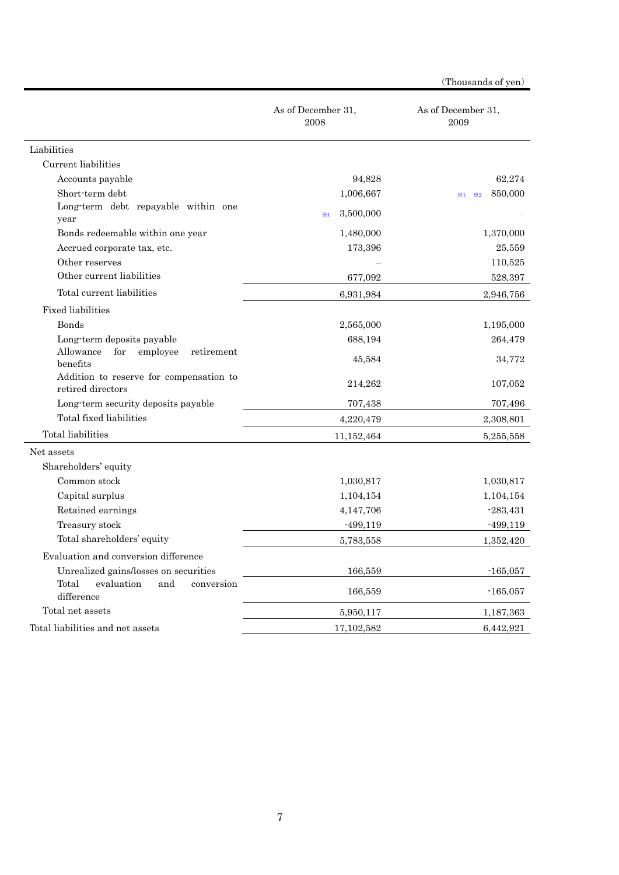|                                                              | As of December 31,<br>2008 | As of December 31,<br>2009    |
|--------------------------------------------------------------|----------------------------|-------------------------------|
| Liabilities                                                  |                            |                               |
| Current liabilities                                          |                            |                               |
| Accounts payable                                             | 94,828                     | 62,274                        |
| Short-term debt                                              | 1,006,667                  | 850,000<br>$\times 2$<br>$*1$ |
| Long-term debt repayable within one<br>year                  | 3,500,000<br>$*1$          |                               |
| Bonds redeemable within one year                             | 1,480,000                  | 1,370,000                     |
| Accrued corporate tax, etc.                                  | 173,396                    | 25,559                        |
| Other reserves                                               |                            | 110,525                       |
| Other current liabilities                                    | 677,092                    | 528,397                       |
| Total current liabilities                                    | 6,931,984                  | 2,946,756                     |
| <b>Fixed liabilities</b>                                     |                            |                               |
| <b>Bonds</b>                                                 | 2,565,000                  | 1,195,000                     |
| Long-term deposits payable                                   | 688,194                    | 264,479                       |
| Allowance<br>for<br>employee<br>retirement<br>benefits       | 45,584                     | 34,772                        |
| Addition to reserve for compensation to<br>retired directors | 214,262                    | 107,052                       |
| Long-term security deposits payable                          | 707,438                    | 707,496                       |
| Total fixed liabilities                                      | 4,220,479                  | 2,308,801                     |
| Total liabilities                                            | 11,152,464                 | 5,255,558                     |
| Net assets                                                   |                            |                               |
| Shareholders' equity                                         |                            |                               |
| Common stock                                                 | 1,030,817                  | 1,030,817                     |
| Capital surplus                                              | 1,104,154                  | 1,104,154                     |
| Retained earnings                                            | 4,147,706                  | $-283,431$                    |
| Treasury stock                                               | $-499,119$                 | $-499,119$                    |
| Total shareholders' equity                                   | 5,783,558                  | 1,352,420                     |
| Evaluation and conversion difference                         |                            |                               |
| Unrealized gains/losses on securities                        | 166,559                    | $-165,057$                    |
| evaluation<br>Total<br>and<br>conversion<br>difference       | 166,559                    | $-165,057$                    |
| Total net assets                                             | 5,950,117                  | 1,187,363                     |
| Total liabilities and net assets                             | 17, 102, 582               | 6,442,921                     |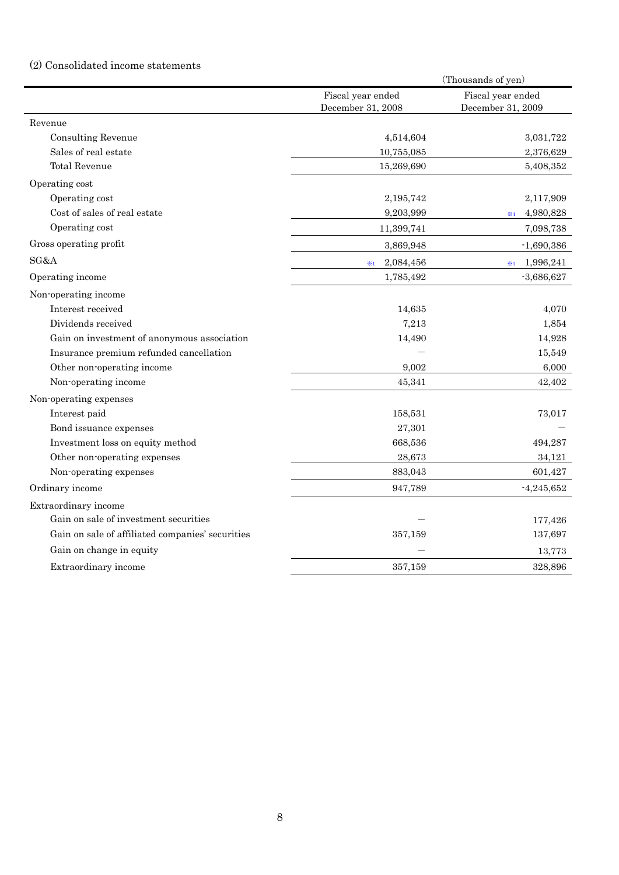# (2) Consolidated income statements

|                                                  |                   | (Thousands of yen)      |
|--------------------------------------------------|-------------------|-------------------------|
|                                                  | Fiscal year ended | Fiscal year ended       |
|                                                  | December 31, 2008 | December 31, 2009       |
| Revenue                                          |                   |                         |
| Consulting Revenue                               | 4,514,604         | 3,031,722               |
| Sales of real estate                             | 10,755,085        | 2,376,629               |
| <b>Total Revenue</b>                             | 15,269,690        | 5,408,352               |
| Operating cost                                   |                   |                         |
| Operating cost                                   | 2,195,742         | 2,117,909               |
| Cost of sales of real estate                     | 9,203,999         | 4,980,828<br>$\times 4$ |
| Operating cost                                   | 11,399,741        | 7,098,738               |
| Gross operating profit                           | 3,869,948         | $-1,690,386$            |
| SG&A                                             | 2,084,456<br>$*1$ | 1,996,241<br>$*1$       |
| Operating income                                 | 1,785,492         | $-3,686,627$            |
| Non-operating income                             |                   |                         |
| Interest received                                | 14,635            | 4,070                   |
| Dividends received                               | 7,213             | 1,854                   |
| Gain on investment of anonymous association      | 14,490            | 14,928                  |
| Insurance premium refunded cancellation          |                   | 15,549                  |
| Other non-operating income                       | 9,002             | 6,000                   |
| Non-operating income                             | 45,341            | 42,402                  |
| Non-operating expenses                           |                   |                         |
| Interest paid                                    | 158,531           | 73,017                  |
| Bond issuance expenses                           | 27,301            |                         |
| Investment loss on equity method                 | 668,536           | 494,287                 |
| Other non-operating expenses                     | 28,673            | 34,121                  |
| Non-operating expenses                           | 883,043           | 601,427                 |
| Ordinary income                                  | 947,789           | $-4,245,652$            |
| Extraordinary income                             |                   |                         |
| Gain on sale of investment securities            |                   | 177,426                 |
| Gain on sale of affiliated companies' securities | 357,159           | 137,697                 |
| Gain on change in equity                         |                   | 13,773                  |
| Extraordinary income                             | 357,159           | 328,896                 |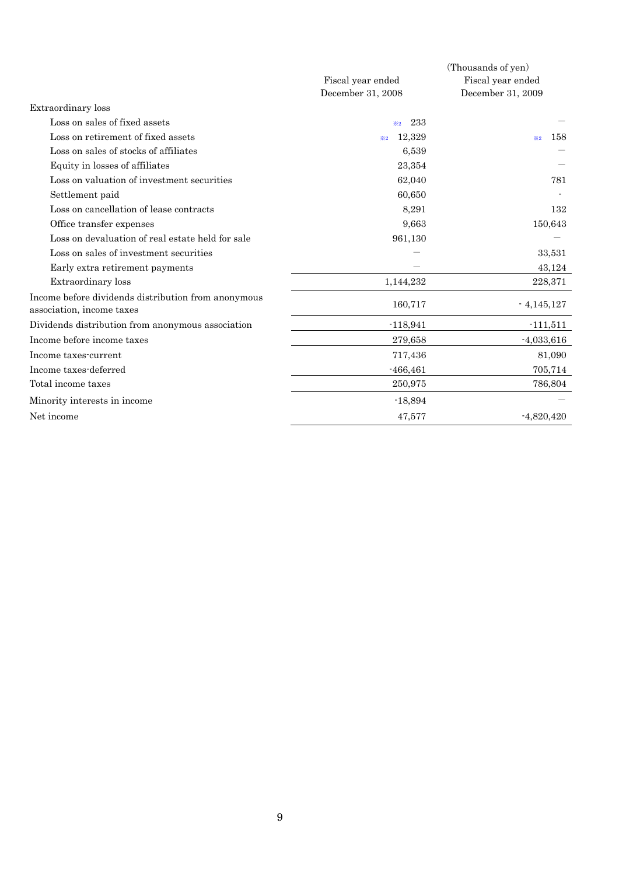|                                                                                  | (Thousands of yen)    |                   |  |
|----------------------------------------------------------------------------------|-----------------------|-------------------|--|
|                                                                                  | Fiscal year ended     | Fiscal year ended |  |
|                                                                                  | December 31, 2008     | December 31, 2009 |  |
| Extraordinary loss                                                               |                       |                   |  |
| Loss on sales of fixed assets                                                    | 233<br>$\frac{36}{2}$ |                   |  |
| Loss on retirement of fixed assets                                               | 12,329<br>$\times 2$  | 158<br>$\times 2$ |  |
| Loss on sales of stocks of affiliates                                            | 6,539                 |                   |  |
| Equity in losses of affiliates                                                   | 23,354                |                   |  |
| Loss on valuation of investment securities                                       | 62,040                | 781               |  |
| Settlement paid                                                                  | 60,650                |                   |  |
| Loss on cancellation of lease contracts                                          | 8,291                 | 132               |  |
| Office transfer expenses                                                         | 9,663                 | 150,643           |  |
| Loss on devaluation of real estate held for sale                                 | 961,130               |                   |  |
| Loss on sales of investment securities                                           |                       | 33,531            |  |
| Early extra retirement payments                                                  |                       | 43,124            |  |
| Extraordinary loss                                                               | 1,144,232             | 228,371           |  |
| Income before dividends distribution from anonymous<br>association, income taxes | 160,717               | $-4,145,127$      |  |
| Dividends distribution from anonymous association                                | $-118,941$            | $-111,511$        |  |
| Income before income taxes                                                       | 279,658               | $-4,033,616$      |  |
| Income taxes-current                                                             | 717,436               | 81,090            |  |
| Income taxes-deferred                                                            | $-466, 461$           | 705,714           |  |
| Total income taxes                                                               | 250,975               | 786,804           |  |
| Minority interests in income                                                     | $-18,894$             |                   |  |
| Net income                                                                       | 47,577                | $-4,820,420$      |  |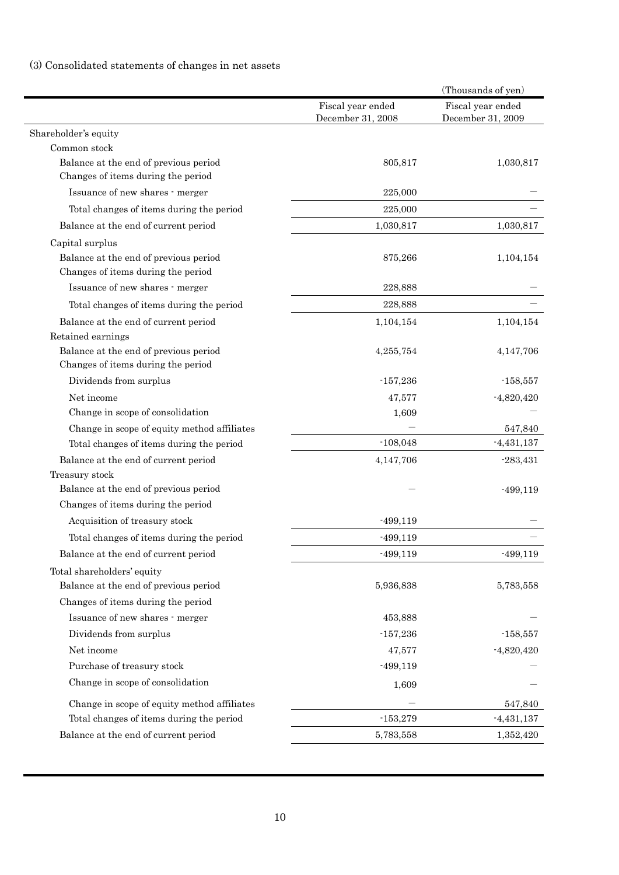# (3) Consolidated statements of changes in net assets

| Fiscal year ended<br>Fiscal year ended<br>December 31, 2008<br>December 31, 2009<br>Shareholder's equity<br>Common stock<br>Balance at the end of previous period<br>805,817<br>1,030,817<br>Changes of items during the period<br>Issuance of new shares - merger<br>225,000<br>Total changes of items during the period<br>225,000<br>Balance at the end of current period<br>1,030,817<br>1,030,817<br>Capital surplus<br>Balance at the end of previous period<br>875,266<br>1,104,154<br>Changes of items during the period<br>Issuance of new shares - merger<br>228,888 |
|--------------------------------------------------------------------------------------------------------------------------------------------------------------------------------------------------------------------------------------------------------------------------------------------------------------------------------------------------------------------------------------------------------------------------------------------------------------------------------------------------------------------------------------------------------------------------------|
|                                                                                                                                                                                                                                                                                                                                                                                                                                                                                                                                                                                |
|                                                                                                                                                                                                                                                                                                                                                                                                                                                                                                                                                                                |
|                                                                                                                                                                                                                                                                                                                                                                                                                                                                                                                                                                                |
|                                                                                                                                                                                                                                                                                                                                                                                                                                                                                                                                                                                |
|                                                                                                                                                                                                                                                                                                                                                                                                                                                                                                                                                                                |
|                                                                                                                                                                                                                                                                                                                                                                                                                                                                                                                                                                                |
|                                                                                                                                                                                                                                                                                                                                                                                                                                                                                                                                                                                |
|                                                                                                                                                                                                                                                                                                                                                                                                                                                                                                                                                                                |
|                                                                                                                                                                                                                                                                                                                                                                                                                                                                                                                                                                                |
|                                                                                                                                                                                                                                                                                                                                                                                                                                                                                                                                                                                |
|                                                                                                                                                                                                                                                                                                                                                                                                                                                                                                                                                                                |
| 228,888<br>Total changes of items during the period                                                                                                                                                                                                                                                                                                                                                                                                                                                                                                                            |
| Balance at the end of current period<br>1,104,154<br>1,104,154                                                                                                                                                                                                                                                                                                                                                                                                                                                                                                                 |
| Retained earnings                                                                                                                                                                                                                                                                                                                                                                                                                                                                                                                                                              |
| Balance at the end of previous period<br>4,147,706<br>4,255,754                                                                                                                                                                                                                                                                                                                                                                                                                                                                                                                |
| Changes of items during the period                                                                                                                                                                                                                                                                                                                                                                                                                                                                                                                                             |
| Dividends from surplus<br>$-157,236$<br>$-158,557$                                                                                                                                                                                                                                                                                                                                                                                                                                                                                                                             |
| Net income<br>$-4,820,420$<br>47,577                                                                                                                                                                                                                                                                                                                                                                                                                                                                                                                                           |
| Change in scope of consolidation<br>1,609                                                                                                                                                                                                                                                                                                                                                                                                                                                                                                                                      |
| Change in scope of equity method affiliates<br>547,840                                                                                                                                                                                                                                                                                                                                                                                                                                                                                                                         |
| $-108,048$<br>$-4,431,137$<br>Total changes of items during the period                                                                                                                                                                                                                                                                                                                                                                                                                                                                                                         |
| Balance at the end of current period<br>4,147,706<br>$-283,431$                                                                                                                                                                                                                                                                                                                                                                                                                                                                                                                |
| Treasury stock                                                                                                                                                                                                                                                                                                                                                                                                                                                                                                                                                                 |
| Balance at the end of previous period<br>$-499,119$                                                                                                                                                                                                                                                                                                                                                                                                                                                                                                                            |
| Changes of items during the period                                                                                                                                                                                                                                                                                                                                                                                                                                                                                                                                             |
| Acquisition of treasury stock<br>$-499,119$                                                                                                                                                                                                                                                                                                                                                                                                                                                                                                                                    |
| Total changes of items during the period<br>$-499,119$                                                                                                                                                                                                                                                                                                                                                                                                                                                                                                                         |
| Balance at the end of current period<br>$-499,119$<br>-499,119                                                                                                                                                                                                                                                                                                                                                                                                                                                                                                                 |
| Total shareholders' equity                                                                                                                                                                                                                                                                                                                                                                                                                                                                                                                                                     |
| Balance at the end of previous period<br>5,936,838<br>5,783,558                                                                                                                                                                                                                                                                                                                                                                                                                                                                                                                |
| Changes of items during the period                                                                                                                                                                                                                                                                                                                                                                                                                                                                                                                                             |
| Issuance of new shares - merger<br>453,888                                                                                                                                                                                                                                                                                                                                                                                                                                                                                                                                     |
| Dividends from surplus<br>$-157,236$<br>$-158,557$                                                                                                                                                                                                                                                                                                                                                                                                                                                                                                                             |
| Net income<br>47,577<br>$-4,820,420$                                                                                                                                                                                                                                                                                                                                                                                                                                                                                                                                           |
| Purchase of treasury stock<br>$-499,119$                                                                                                                                                                                                                                                                                                                                                                                                                                                                                                                                       |
| Change in scope of consolidation<br>1,609                                                                                                                                                                                                                                                                                                                                                                                                                                                                                                                                      |
| Change in scope of equity method affiliates<br>547,840                                                                                                                                                                                                                                                                                                                                                                                                                                                                                                                         |
| Total changes of items during the period<br>$-153,279$<br>$-4,431,137$                                                                                                                                                                                                                                                                                                                                                                                                                                                                                                         |
| Balance at the end of current period<br>5,783,558<br>1,352,420                                                                                                                                                                                                                                                                                                                                                                                                                                                                                                                 |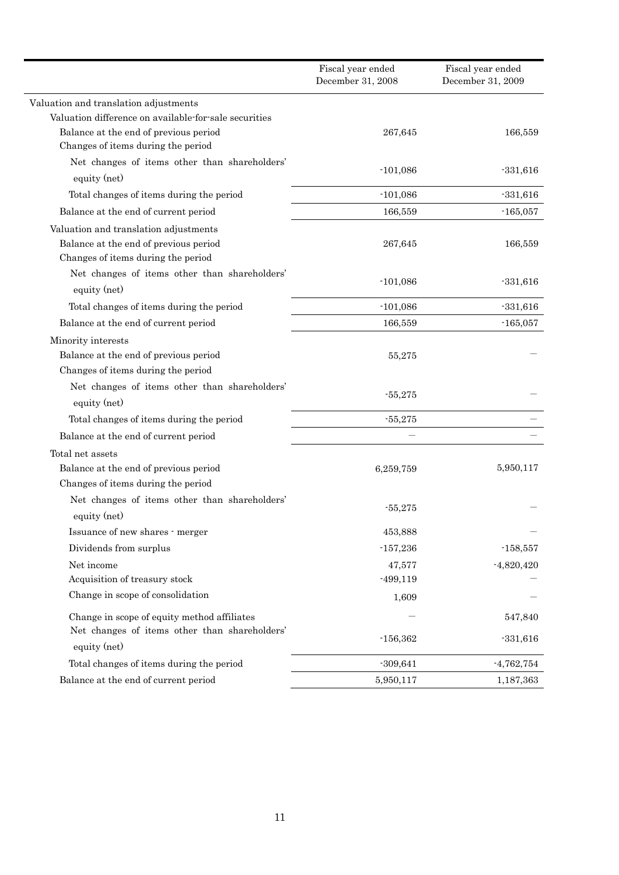|                                                                                                                      | Fiscal year ended<br>December 31, 2008 | Fiscal year ended<br>December 31, 2009 |
|----------------------------------------------------------------------------------------------------------------------|----------------------------------------|----------------------------------------|
| Valuation and translation adjustments                                                                                |                                        |                                        |
| Valuation difference on available for sale securities                                                                |                                        |                                        |
| Balance at the end of previous period                                                                                | 267,645                                | 166,559                                |
| Changes of items during the period                                                                                   |                                        |                                        |
| Net changes of items other than shareholders'<br>equity (net)                                                        | $-101,086$                             | $-331,616$                             |
| Total changes of items during the period                                                                             | $-101,086$                             | $-331,616$                             |
| Balance at the end of current period                                                                                 | 166,559                                | $-165,057$                             |
| Valuation and translation adjustments<br>Balance at the end of previous period<br>Changes of items during the period | 267,645                                | 166,559                                |
| Net changes of items other than shareholders'<br>equity (net)                                                        | $-101,086$                             | $-331,616$                             |
| Total changes of items during the period                                                                             | $-101,086$                             | $-331,616$                             |
| Balance at the end of current period                                                                                 | 166,559                                | $-165,057$                             |
| Minority interests                                                                                                   |                                        |                                        |
| Balance at the end of previous period                                                                                | 55,275                                 |                                        |
| Changes of items during the period                                                                                   |                                        |                                        |
| Net changes of items other than shareholders'<br>equity (net)                                                        | $-55,275$                              |                                        |
| Total changes of items during the period                                                                             | $-55,275$                              |                                        |
| Balance at the end of current period                                                                                 |                                        |                                        |
| Total net assets                                                                                                     |                                        |                                        |
| Balance at the end of previous period<br>Changes of items during the period                                          | 6,259,759                              | 5,950,117                              |
| Net changes of items other than shareholders'<br>equity (net)                                                        | $-55,275$                              |                                        |
| Issuance of new shares - merger                                                                                      | 453,888                                |                                        |
| Dividends from surplus                                                                                               | $-157,236$                             | $-158,557$                             |
| Net income                                                                                                           | 47,577                                 | $-4,820,420$                           |
| Acquisition of treasury stock                                                                                        | $-499,119$                             |                                        |
| Change in scope of consolidation                                                                                     | 1,609                                  |                                        |
| Change in scope of equity method affiliates<br>Net changes of items other than shareholders'                         |                                        | 547,840                                |
| equity (net)                                                                                                         | $-156,362$                             | $-331,616$                             |
| Total changes of items during the period                                                                             | $-309,641$                             | $-4,762,754$                           |
| Balance at the end of current period                                                                                 | 5,950,117                              | 1,187,363                              |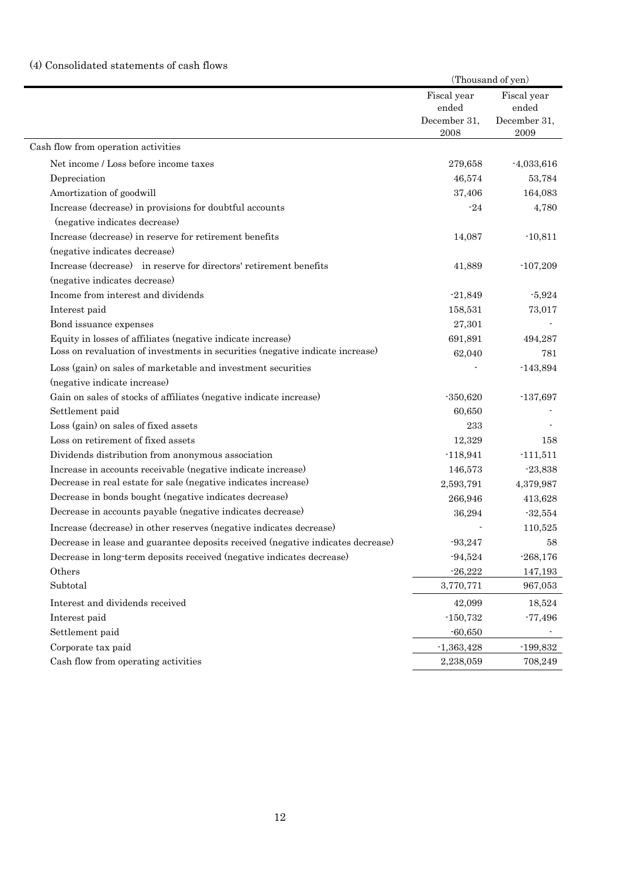# (4) Consolidated statements of cash flows

|                                                                                 |                                      | (Thousand of yen)                    |  |
|---------------------------------------------------------------------------------|--------------------------------------|--------------------------------------|--|
|                                                                                 | Fiscal year<br>ended<br>December 31, | Fiscal year<br>ended<br>December 31, |  |
|                                                                                 | 2008                                 | 2009                                 |  |
| Cash flow from operation activities                                             |                                      |                                      |  |
| Net income / Loss before income taxes                                           | 279,658                              | $-4,033,616$                         |  |
| Depreciation                                                                    | 46,574                               | 53,784                               |  |
| Amortization of goodwill                                                        | 37,406                               | 164,083                              |  |
| Increase (decrease) in provisions for doubtful accounts                         | $-24$                                | 4,780                                |  |
| (negative indicates decrease)                                                   |                                      |                                      |  |
| Increase (decrease) in reserve for retirement benefits                          | 14,087                               | $-10,811$                            |  |
| (negative indicates decrease)                                                   |                                      |                                      |  |
| Increase (decrease) in reserve for directors' retirement benefits               | 41,889                               | $-107,209$                           |  |
| (negative indicates decrease)                                                   |                                      |                                      |  |
| Income from interest and dividends                                              | $-21,849$                            | $-5,924$                             |  |
| Interest paid                                                                   | 158,531                              | 73,017                               |  |
| Bond issuance expenses                                                          | 27,301                               |                                      |  |
| Equity in losses of affiliates (negative indicate increase)                     | 691,891                              | 494,287                              |  |
| Loss on revaluation of investments in securities (negative indicate increase)   | 62,040                               | 781                                  |  |
| Loss (gain) on sales of marketable and investment securities                    |                                      | $-143,894$                           |  |
| (negative indicate increase)                                                    |                                      |                                      |  |
| Gain on sales of stocks of affiliates (negative indicate increase)              | $-350,620$                           | $-137,697$                           |  |
| Settlement paid                                                                 | 60,650                               |                                      |  |
| Loss (gain) on sales of fixed assets                                            | 233                                  |                                      |  |
| Loss on retirement of fixed assets                                              | 12,329                               | 158                                  |  |
| Dividends distribution from anonymous association                               | $-118,941$                           | $-111,511$                           |  |
| Increase in accounts receivable (negative indicate increase)                    | 146,573                              | $-23,838$                            |  |
| Decrease in real estate for sale (negative indicates increase)                  | 2,593,791                            | 4,379,987                            |  |
| Decrease in bonds bought (negative indicates decrease)                          | 266,946                              | 413,628                              |  |
| Decrease in accounts payable (negative indicates decrease)                      | 36,294                               | $-32,554$                            |  |
| Increase (decrease) in other reserves (negative indicates decrease)             |                                      | 110,525                              |  |
| Decrease in lease and guarantee deposits received (negative indicates decrease) | $-93,247$                            | 58                                   |  |
| Decrease in long-term deposits received (negative indicates decrease)           | $-94,524$                            | $-268,176$                           |  |
| Others                                                                          | $-26,222$                            | 147,193                              |  |
| Subtotal                                                                        | 3,770,771                            | 967,053                              |  |
| Interest and dividends received                                                 | 42,099                               | 18,524                               |  |
| Interest paid                                                                   | $-150,732$                           | $-77,496$                            |  |
| Settlement paid                                                                 | $-60,650$                            |                                      |  |
| Corporate tax paid                                                              | $-1,363,428$                         | $-199,832$                           |  |
| Cash flow from operating activities                                             | 2,238,059                            | 708,249                              |  |
|                                                                                 |                                      |                                      |  |